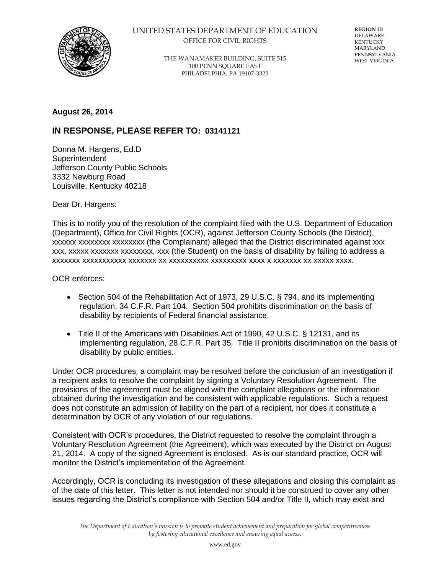

## UNITED STATES DEPARTMENT OF EDUCATION OFFICE FOR CIVIL RIGHTS

**REGION III** DELAWARE KENTUCKY MARYLAND PENNSYLVANIA WEST VIRGINIA

THE WANAMAKER BUILDING, SUITE 515 100 PENN SQUARE EAST PHILADELPHIA, PA 19107-3323

## **August 26, 2014**

## **IN RESPONSE, PLEASE REFER TO: 03141121**

Donna M. Hargens, Ed.D **Superintendent** Jefferson County Public Schools 3332 Newburg Road Louisville, Kentucky 40218

Dear Dr. Hargens:

This is to notify you of the resolution of the complaint filed with the U.S. Department of Education (Department), Office for Civil Rights (OCR), against Jefferson County Schools (the District). xxxxxx xxxxxxxx xxxxxxxx (the Complainant) alleged that the District discriminated against xxx xxx, xxxxx xxxxxxx xxxxxxxx, xxx (the Student) on the basis of disability by failing to address a xxxxxxx xxxxxxxxxxx xxxxxxx xx xxxxxxxxxx xxxxxxxxx xxxx x xxxxxxx xx xxxxx xxxx.

OCR enforces:

- Section 504 of the Rehabilitation Act of 1973, 29 U.S.C. § 794, and its implementing regulation, 34 C.F.R. Part 104. Section 504 prohibits discrimination on the basis of disability by recipients of Federal financial assistance.
- Title II of the Americans with Disabilities Act of 1990, 42 U.S.C. § 12131, and its implementing regulation, 28 C.F.R. Part 35. Title II prohibits discrimination on the basis of disability by public entities.

Under OCR procedures, a complaint may be resolved before the conclusion of an investigation if a recipient asks to resolve the complaint by signing a Voluntary Resolution Agreement. The provisions of the agreement must be aligned with the complaint allegations or the information obtained during the investigation and be consistent with applicable regulations. Such a request does not constitute an admission of liability on the part of a recipient, nor does it constitute a determination by OCR of any violation of our regulations.

Consistent with OCR's procedures, the District requested to resolve the complaint through a Voluntary Resolution Agreement (the Agreement), which was executed by the District on August 21, 2014. A copy of the signed Agreement is enclosed. As is our standard practice, OCR will monitor the District's implementation of the Agreement.

Accordingly, OCR is concluding its investigation of these allegations and closing this complaint as of the date of this letter. This letter is not intended nor should it be construed to cover any other issues regarding the District's compliance with Section 504 and/or Title II, which may exist and